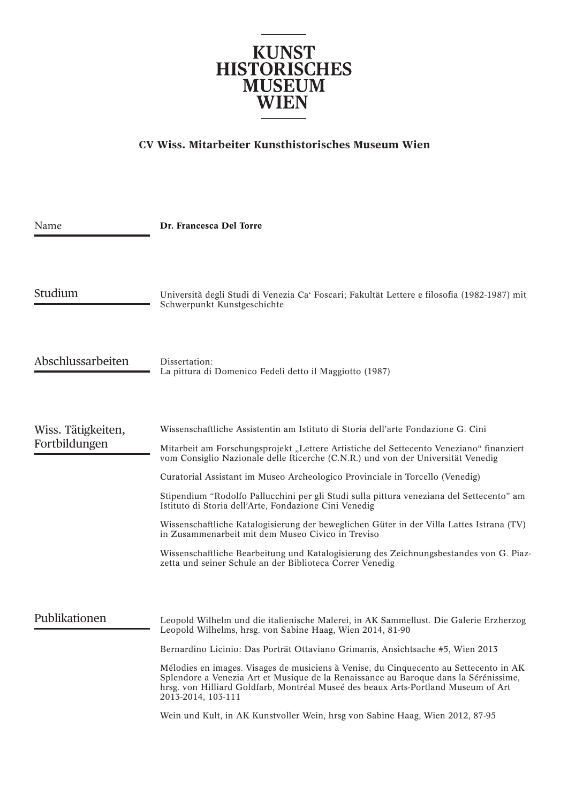

## **CV Wiss. Mitarbeiter Kunsthistorisches Museum Wien**

| Name                                | Dr. Francesca Del Torre                                                                                                                                                                                                                                                                                                                                                                                                                                                                                                                                                                                                                                                                                                                                                                                    |
|-------------------------------------|------------------------------------------------------------------------------------------------------------------------------------------------------------------------------------------------------------------------------------------------------------------------------------------------------------------------------------------------------------------------------------------------------------------------------------------------------------------------------------------------------------------------------------------------------------------------------------------------------------------------------------------------------------------------------------------------------------------------------------------------------------------------------------------------------------|
| Studium                             | Università degli Studi di Venezia Ca' Foscari; Fakultät Lettere e filosofia (1982-1987) mit<br>Schwerpunkt Kunstgeschichte                                                                                                                                                                                                                                                                                                                                                                                                                                                                                                                                                                                                                                                                                 |
| Abschlussarbeiten                   | Dissertation:<br>La pittura di Domenico Fedeli detto il Maggiotto (1987)                                                                                                                                                                                                                                                                                                                                                                                                                                                                                                                                                                                                                                                                                                                                   |
| Wiss. Tätigkeiten,<br>Fortbildungen | Wissenschaftliche Assistentin am Istituto di Storia dell'arte Fondazione G. Cini<br>Mitarbeit am Forschungsprojekt "Lettere Artistiche del Settecento Veneziano" finanziert<br>vom Consiglio Nazionale delle Ricerche (C.N.R.) und von der Universität Venedig<br>Curatorial Assistant im Museo Archeologico Provinciale in Torcello (Venedig)<br>Stipendium "Rodolfo Pallucchini per gli Studi sulla pittura veneziana del Settecento" am<br>Istituto di Storia dell'Arte, Fondazione Cini Venedig<br>Wissenschaftliche Katalogisierung der beweglichen Güter in der Villa Lattes Istrana (TV)<br>in Zusammenarbeit mit dem Museo Civico in Treviso<br>Wissenschaftliche Bearbeitung und Katalogisierung des Zeichnungsbestandes von G. Piaz-<br>zetta und seiner Schule an der Biblioteca Correr Venedig |
| Publikationen                       | Leopold Wilhelm und die italienische Malerei, in AK Sammellust. Die Galerie Erzherzog<br>Leopold Wilhelms, hrsg. von Sabine Haag, Wien 2014, 81-90<br>Bernardino Licinio: Das Porträt Ottaviano Grimanis, Ansichtsache #5, Wien 2013<br>Mélodies en images. Visages de musiciens à Venise, du Cinquecento au Settecento in AK<br>Splendore a Venezia Art et Musique de la Renaissance au Baroque dans la Sérénissime,<br>hrsg. von Hilliard Goldfarb, Montréal Museé des beaux Arts-Portland Museum of Art<br>2013-2014, 103-111<br>Wein und Kult, in AK Kunstvoller Wein, hrsg von Sabine Haag, Wien 2012, 87-95                                                                                                                                                                                          |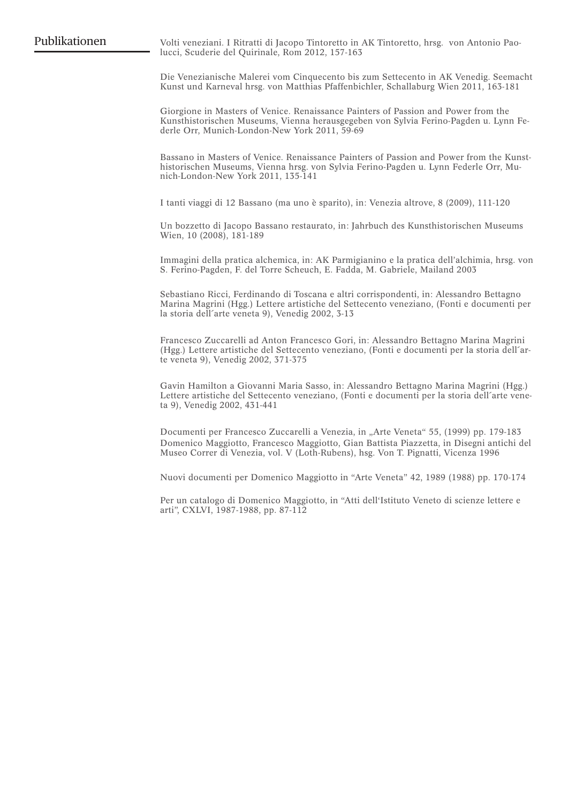Publikationen Volti veneziani. I Ritratti di Jacopo Tintoretto in AK Tintoretto, hrsg. von Antonio Paolucci, Scuderie del Quirinale, Rom 2012, 157-163

> Die Venezianische Malerei vom Cinquecento bis zum Settecento in AK Venedig. Seemacht Kunst und Karneval hrsg. von Matthias Pfaffenbichler, Schallaburg Wien 2011, 163-181

> Giorgione in Masters of Venice. Renaissance Painters of Passion and Power from the Kunsthistorischen Museums, Vienna herausgegeben von Sylvia Ferino-Pagden u. Lynn Federle Orr, Munich-London-New York 2011, 59-69

> Bassano in Masters of Venice. Renaissance Painters of Passion and Power from the Kunsthistorischen Museums, Vienna hrsg. von Sylvia Ferino-Pagden u. Lynn Federle Orr, Munich-London-New York 2011, 135-141

I tanti viaggi di 12 Bassano (ma uno è sparito), in: Venezia altrove, 8 (2009), 111-120

Un bozzetto di Jacopo Bassano restaurato, in: Jahrbuch des Kunsthistorischen Museums Wien, 10 (2008), 181-189

Immagini della pratica alchemica, in: AK Parmigianino e la pratica dell'alchimia, hrsg. von S. Ferino-Pagden, F. del Torre Scheuch, E. Fadda, M. Gabriele, Mailand 2003

Sebastiano Ricci, Ferdinando di Toscana e altri corrispondenti, in: Alessandro Bettagno Marina Magrini (Hgg.) Lettere artistiche del Settecento veneziano, (Fonti e documenti per la storia dell'arte veneta 9), Venedig 2002, 3-13

Francesco Zuccarelli ad Anton Francesco Gori, in: Alessandro Bettagno Marina Magrini (Hgg.) Lettere artistiche del Settecento veneziano, (Fonti e documenti per la storia dell´arte veneta 9), Venedig 2002, 371-375

Gavin Hamilton a Giovanni Maria Sasso, in: Alessandro Bettagno Marina Magrini (Hgg.) Lettere artistiche del Settecento veneziano, (Fonti e documenti per la storia dell´arte veneta 9), Venedig 2002, 431-441

Documenti per Francesco Zuccarelli a Venezia, in "Arte Veneta" 55, (1999) pp. 179-183 Domenico Maggiotto, Francesco Maggiotto, Gian Battista Piazzetta, in Disegni antichi del Museo Correr di Venezia, vol. V (Loth-Rubens), hsg. Von T. Pignatti, Vicenza 1996

Nuovi documenti per Domenico Maggiotto in "Arte Veneta" 42, 1989 (1988) pp. 170-174

Per un catalogo di Domenico Maggiotto, in "Atti dell'Istituto Veneto di scienze lettere e arti", CXLVI, 1987-1988, pp. 87-112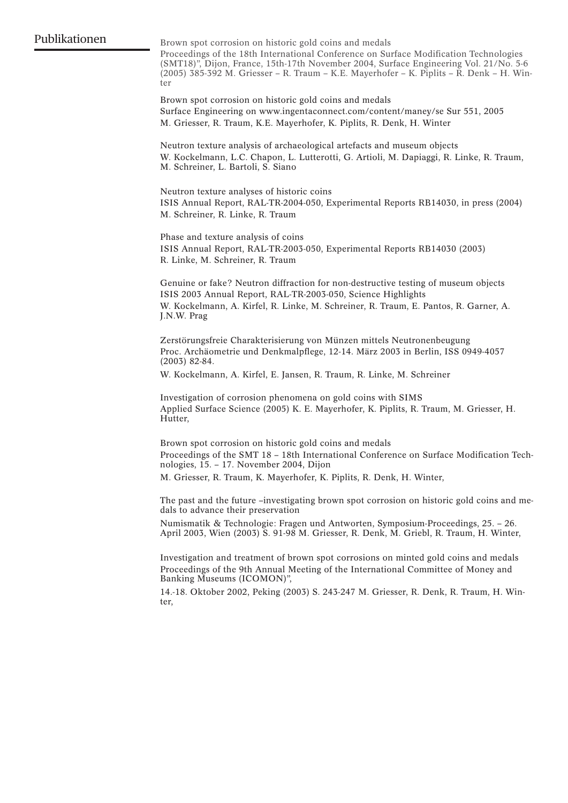Brown spot corrosion on historic gold coins and medals

Proceedings of the 18th International Conference on Surface Modification Technologies (SMT18)", Dijon, France, 15th-17th November 2004, Surface Engineering Vol. 21/No. 5-6 (2005) 385-392 M. Griesser – R. Traum – K.E. Mayerhofer – K. Piplits – R. Denk – H. Winter

Brown spot corrosion on historic gold coins and medals Surface Engineering on www.ingentaconnect.com/content/maney/se Sur 551, 2005 M. Griesser, R. Traum, K.E. Mayerhofer, K. Piplits, R. Denk, H. Winter

Neutron texture analysis of archaeological artefacts and museum objects W. Kockelmann, L.C. Chapon, L. Lutterotti, G. Artioli, M. Dapiaggi, R. Linke, R. Traum, M. Schreiner, L. Bartoli, S. Siano

Neutron texture analyses of historic coins ISIS Annual Report, RAL-TR-2004-050, Experimental Reports RB14030, in press (2004) M. Schreiner, R. Linke, R. Traum

Phase and texture analysis of coins ISIS Annual Report, RAL-TR-2003-050, Experimental Reports RB14030 (2003) R. Linke, M. Schreiner, R. Traum

Genuine or fake? Neutron diffraction for non-destructive testing of museum objects ISIS 2003 Annual Report, RAL-TR-2003-050, Science Highlights W. Kockelmann, A. Kirfel, R. Linke, M. Schreiner, R. Traum, E. Pantos, R. Garner, A. J.N.W. Prag

Zerstörungsfreie Charakterisierung von Münzen mittels Neutronenbeugung Proc. Archäometrie und Denkmalpflege, 12-14. März 2003 in Berlin, ISS 0949-4057 (2003) 82-84.

W. Kockelmann, A. Kirfel, E. Jansen, R. Traum, R. Linke, M. Schreiner

Investigation of corrosion phenomena on gold coins with SIMS Applied Surface Science (2005) K. E. Mayerhofer, K. Piplits, R. Traum, M. Griesser, H. Hutter,

Brown spot corrosion on historic gold coins and medals Proceedings of the SMT 18 – 18th International Conference on Surface Modification Technologies, 15. – 17. November 2004, Dijon M. Griesser, R. Traum, K. Mayerhofer, K. Piplits, R. Denk, H. Winter,

The past and the future –investigating brown spot corrosion on historic gold coins and medals to advance their preservation

Numismatik & Technologie: Fragen und Antworten, Symposium-Proceedings, 25. – 26. April 2003, Wien (2003) S. 91-98 M. Griesser, R. Denk, M. Griebl, R. Traum, H. Winter,

Investigation and treatment of brown spot corrosions on minted gold coins and medals Proceedings of the 9th Annual Meeting of the International Committee of Money and Banking Museums (ICOMON)",

14.-18. Oktober 2002, Peking (2003) S. 243-247 M. Griesser, R. Denk, R. Traum, H. Winter,